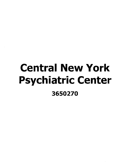## Central New York Psychiatric Center 3650270